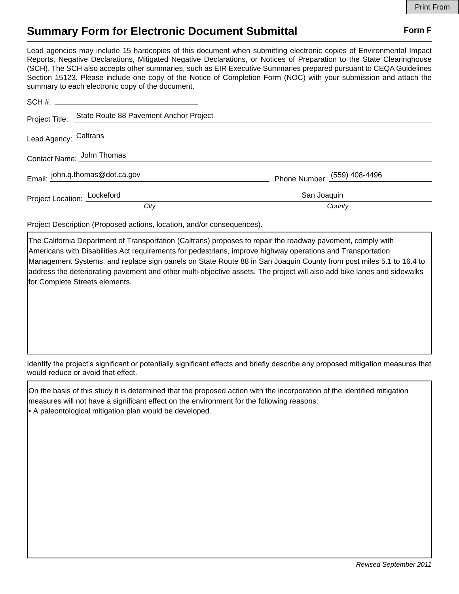## **Summary Form for Electronic Document Submittal Form F Form F**

Lead agencies may include 15 hardcopies of this document when submitting electronic copies of Environmental Impact Reports, Negative Declarations, Mitigated Negative Declarations, or Notices of Preparation to the State Clearinghouse (SCH). The SCH also accepts other summaries, such as EIR Executive Summaries prepared pursuant to CEQA Guidelines Section 15123. Please include one copy of the Notice of Completion Form (NOC) with your submission and attach the summary to each electronic copy of the document.

|                             | Project Title: State Route 88 Pavement Anchor Project |                              |
|-----------------------------|-------------------------------------------------------|------------------------------|
| Lead Agency: Caltrans       |                                                       |                              |
| Contact Name: John Thomas   |                                                       |                              |
|                             | Email: john.q.thomas@dot.ca.gov                       | Phone Number: (559) 408-4496 |
| Project Location: Lockeford |                                                       | San Joaquin                  |
|                             | City                                                  | County                       |

Project Description (Proposed actions, location, and/or consequences).

The California Department of Transportation (Caltrans) proposes to repair the roadway pavement, comply with Americans with Disabilities Act requirements for pedestrians, improve highway operations and Transportation Management Systems, and replace sign panels on State Route 88 in San Joaquin County from post miles 5.1 to 16.4 to address the deteriorating pavement and other multi-objective assets. The project will also add bike lanes and sidewalks for Complete Streets elements.

Identify the project's significant or potentially significant effects and briefly describe any proposed mitigation measures that would reduce or avoid that effect.

On the basis of this study it is determined that the proposed action with the incorporation of the identified mitigation measures will not have a significant effect on the environment for the following reasons: • A paleontological mitigation plan would be developed.